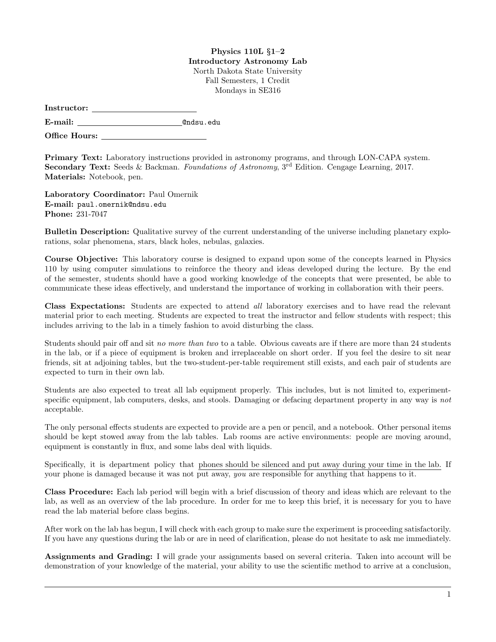## Physics 110L §1–2 Introductory Astronomy Lab North Dakota State University Fall Semesters, 1 Credit Mondays in SE316

| Instructor: |  |
|-------------|--|
|             |  |

E-mail: @ndsu.edu

Office Hours:

Primary Text: Laboratory instructions provided in astronomy programs, and through LON-CAPA system. Secondary Text: Seeds & Backman. Foundations of Astronomy, 3<sup>rd</sup> Edition. Cengage Learning, 2017. Materials: Notebook, pen.

Laboratory Coordinator: Paul Omernik E-mail: paul.omernik@ndsu.edu Phone: 231-7047

Bulletin Description: Qualitative survey of the current understanding of the universe including planetary explorations, solar phenomena, stars, black holes, nebulas, galaxies.

Course Objective: This laboratory course is designed to expand upon some of the concepts learned in Physics 110 by using computer simulations to reinforce the theory and ideas developed during the lecture. By the end of the semester, students should have a good working knowledge of the concepts that were presented, be able to communicate these ideas effectively, and understand the importance of working in collaboration with their peers.

Class Expectations: Students are expected to attend all laboratory exercises and to have read the relevant material prior to each meeting. Students are expected to treat the instructor and fellow students with respect; this includes arriving to the lab in a timely fashion to avoid disturbing the class.

Students should pair off and sit no more than two to a table. Obvious caveats are if there are more than 24 students in the lab, or if a piece of equipment is broken and irreplaceable on short order. If you feel the desire to sit near friends, sit at adjoining tables, but the two-student-per-table requirement still exists, and each pair of students are expected to turn in their own lab.

Students are also expected to treat all lab equipment properly. This includes, but is not limited to, experimentspecific equipment, lab computers, desks, and stools. Damaging or defacing department property in any way is not acceptable.

The only personal effects students are expected to provide are a pen or pencil, and a notebook. Other personal items should be kept stowed away from the lab tables. Lab rooms are active environments: people are moving around, equipment is constantly in flux, and some labs deal with liquids.

Specifically, it is department policy that phones should be silenced and put away during your time in the lab. If your phone is damaged because it was not put away, you are responsible for anything that happens to it.

Class Procedure: Each lab period will begin with a brief discussion of theory and ideas which are relevant to the lab, as well as an overview of the lab procedure. In order for me to keep this brief, it is necessary for you to have read the lab material before class begins.

After work on the lab has begun, I will check with each group to make sure the experiment is proceeding satisfactorily. If you have any questions during the lab or are in need of clarification, please do not hesitate to ask me immediately.

Assignments and Grading: I will grade your assignments based on several criteria. Taken into account will be demonstration of your knowledge of the material, your ability to use the scientific method to arrive at a conclusion,